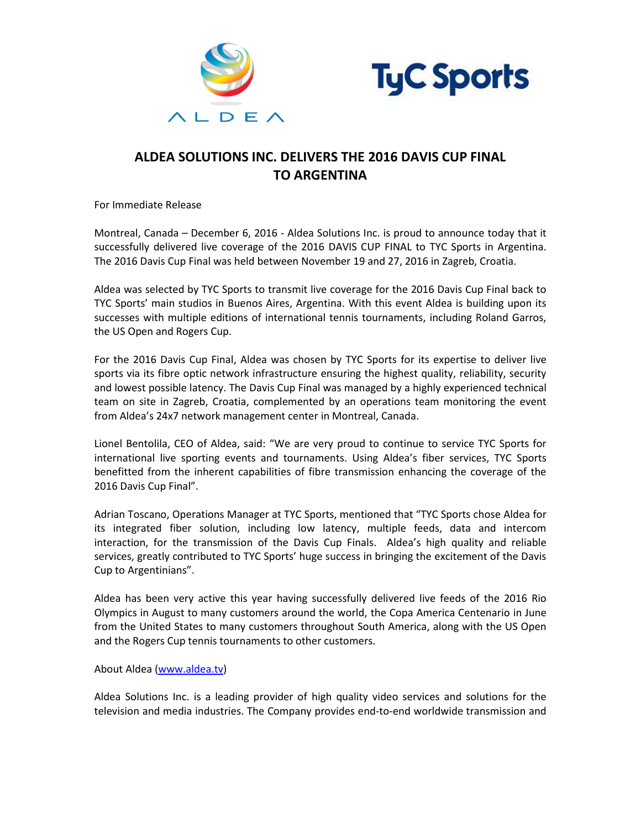



## **ALDEA SOLUTIONS INC. DELIVERS THE 2016 DAVIS CUP FINAL TO ARGENTINA**

For Immediate Release

Montreal, Canada – December 6, 2016 - Aldea Solutions Inc. is proud to announce today that it successfully delivered live coverage of the 2016 DAVIS CUP FINAL to TYC Sports in Argentina. The 2016 Davis Cup Final was held between November 19 and 27, 2016 in Zagreb, Croatia.

Aldea was selected by TYC Sports to transmit live coverage for the 2016 Davis Cup Final back to TYC Sports' main studios in Buenos Aires, Argentina. With this event Aldea is building upon its successes with multiple editions of international tennis tournaments, including Roland Garros, the US Open and Rogers Cup.

For the 2016 Davis Cup Final, Aldea was chosen by TYC Sports for its expertise to deliver live sports via its fibre optic network infrastructure ensuring the highest quality, reliability, security and lowest possible latency. The Davis Cup Final was managed by a highly experienced technical team on site in Zagreb, Croatia, complemented by an operations team monitoring the event from Aldea's 24x7 network management center in Montreal, Canada.

Lionel Bentolila, CEO of Aldea, said: "We are very proud to continue to service TYC Sports for international live sporting events and tournaments. Using Aldea's fiber services, TYC Sports benefitted from the inherent capabilities of fibre transmission enhancing the coverage of the 2016 Davis Cup Final".

Adrian Toscano, Operations Manager at TYC Sports, mentioned that "TYC Sports chose Aldea for its integrated fiber solution, including low latency, multiple feeds, data and intercom interaction, for the transmission of the Davis Cup Finals. Aldea's high quality and reliable services, greatly contributed to TYC Sports' huge success in bringing the excitement of the Davis Cup to Argentinians".

Aldea has been very active this year having successfully delivered live feeds of the 2016 Rio Olympics in August to many customers around the world, the Copa America Centenario in June from the United States to many customers throughout South America, along with the US Open and the Rogers Cup tennis tournaments to other customers.

About Aldea [\(www.aldea.tv\)](http://www.aldea.tv/)

Aldea Solutions Inc. is a leading provider of high quality video services and solutions for the television and media industries. The Company provides end-to-end worldwide transmission and